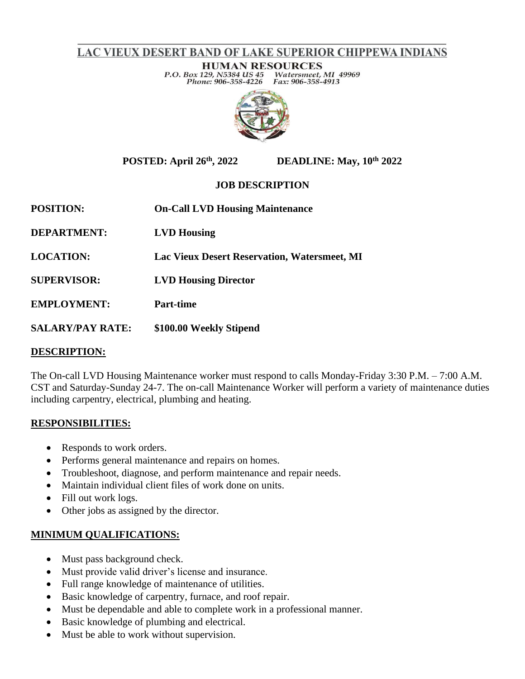# LAC VIEUX DESERT BAND OF LAKE SUPERIOR CHIPPEWA INDIANS

**HUMAN RESOURCES** P.O. Box 129, N5384 US 45 Watersmeet, MI 49969 Phone: 906-358-4226 Fax: 906-358-4913



**POSTED: April 26th, 2022 DEADLINE: May, 10th 2022**

## **JOB DESCRIPTION**

| <b>POSITION:</b>        | <b>On-Call LVD Housing Maintenance</b>              |
|-------------------------|-----------------------------------------------------|
| <b>DEPARTMENT:</b>      | <b>LVD</b> Housing                                  |
| <b>LOCATION:</b>        | <b>Lac Vieux Desert Reservation, Watersmeet, MI</b> |
| <b>SUPERVISOR:</b>      | <b>LVD Housing Director</b>                         |
| <b>EMPLOYMENT:</b>      | <b>Part-time</b>                                    |
| <b>SALARY/PAY RATE:</b> | \$100.00 Weekly Stipend                             |

#### **DESCRIPTION:**

The On-call LVD Housing Maintenance worker must respond to calls Monday-Friday 3:30 P.M. – 7:00 A.M. CST and Saturday-Sunday 24-7. The on-call Maintenance Worker will perform a variety of maintenance duties including carpentry, electrical, plumbing and heating.

## **RESPONSIBILITIES:**

- Responds to work orders.
- Performs general maintenance and repairs on homes.
- Troubleshoot, diagnose, and perform maintenance and repair needs.
- Maintain individual client files of work done on units.
- Fill out work logs.
- Other jobs as assigned by the director.

## **MINIMUM QUALIFICATIONS:**

- Must pass background check.
- Must provide valid driver's license and insurance.
- Full range knowledge of maintenance of utilities.
- Basic knowledge of carpentry, furnace, and roof repair.
- Must be dependable and able to complete work in a professional manner.
- Basic knowledge of plumbing and electrical.
- Must be able to work without supervision.